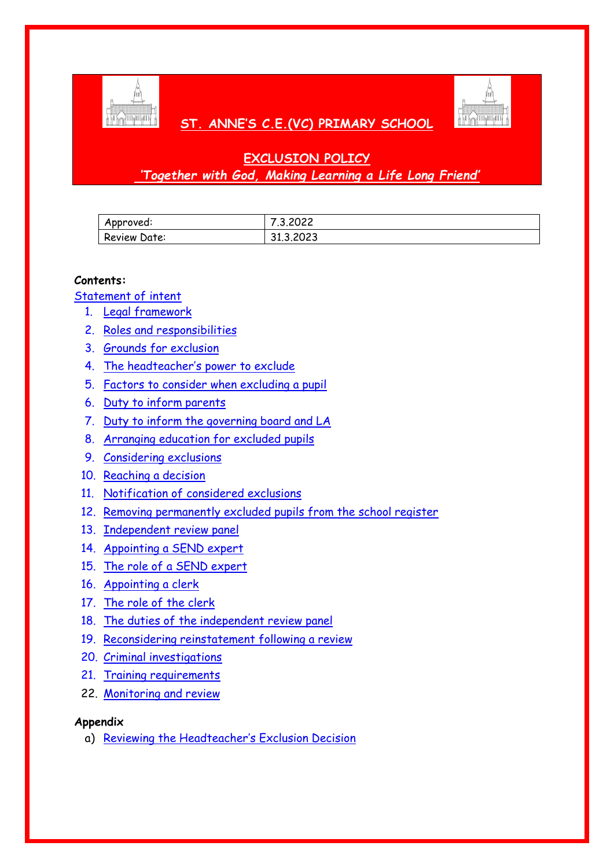

# **ST. ANNE'S C.E.(VC) PRIMARY SCHOOL**



# **EXCLUSION POLICY** *'Together with God, Making Learning a Life Long Friend'*

| Approved:    | .3.2022   |
|--------------|-----------|
| Review Date: | 31.3.2023 |

#### **Contents:**

[Statement of intent](#page-1-0)

- 1. [Legal framework](#page-2-0)
- 2. [Roles and responsibilities](#page-2-1)
- 3. [Grounds for exclusion](#page-5-0)
- 4. [The headteacher's power to exclude](#page-6-0)
- 5. [Factors to consider when excluding a pupil](#page-6-1)
- 6. [Duty to inform parents](#page-7-0)
- 7. [Duty to inform the governing board and LA](#page-8-0)
- 8. [Arranging education for excluded pupils](#page-9-0)
- 9. [Considering exclusions](#page-9-1)
- 10. [Reaching a decision](#page-11-0)
- 11. [Notification of considered exclusions](#page-11-1)
- 12. [Removing permanently excluded pupils from the school register](#page-12-0)
- 13. [Independent review panel](#page-13-0)
- 14. [Appointing a SEND expert](#page-13-1)
- 15. [The role of a SEND expert](#page-14-0)
- 16. [Appointing a clerk](#page-15-0)
- 17. [The role of the clerk](#page-15-1)
- 18. [The duties of the independent review panel](#page-15-2)
- 19. [Reconsidering reinstatement following a review](#page-16-0)
- 20. [Criminal investigations](#page-16-1)
- 21. [Training requirements](#page-17-0)
- 22. [Monitoring and review](#page-17-1)

#### **Appendix**

a) [Reviewing the Headteacher's Exclusion Decision](#page-18-0)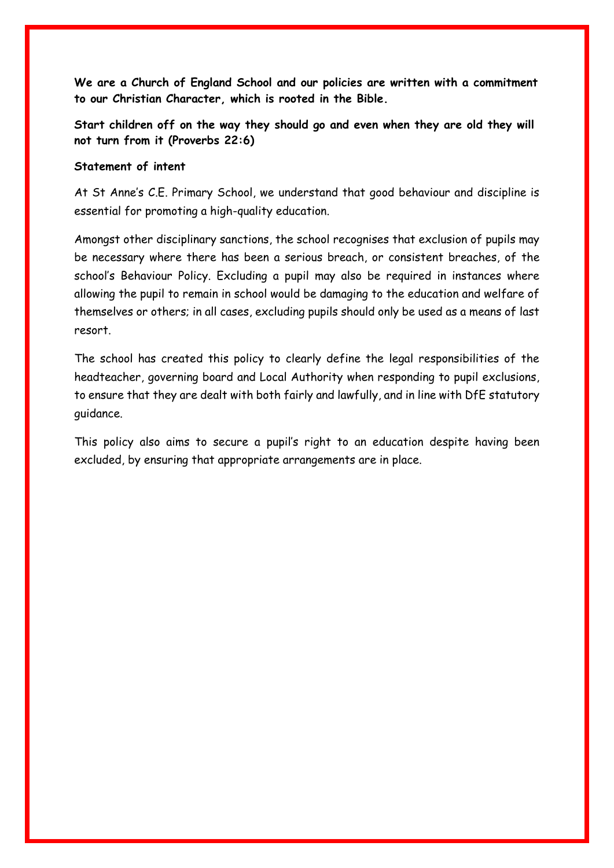<span id="page-1-0"></span>**We are a Church of England School and our policies are written with a commitment to our Christian Character, which is rooted in the Bible.** 

**Start children off on the way they should go and even when they are old they will not turn from it (Proverbs 22:6)**

#### **Statement of intent**

At St Anne's C.E. Primary School, we understand that good behaviour and discipline is essential for promoting a high-quality education.

Amongst other disciplinary sanctions, the school recognises that exclusion of pupils may be necessary where there has been a serious breach, or consistent breaches, of the school's Behaviour Policy. Excluding a pupil may also be required in instances where allowing the pupil to remain in school would be damaging to the education and welfare of themselves or others; in all cases, excluding pupils should only be used as a means of last resort.

The school has created this policy to clearly define the legal responsibilities of the headteacher, governing board and Local Authority when responding to pupil exclusions, to ensure that they are dealt with both fairly and lawfully, and in line with DfE statutory guidance.

This policy also aims to secure a pupil's right to an education despite having been excluded, by ensuring that appropriate arrangements are in place.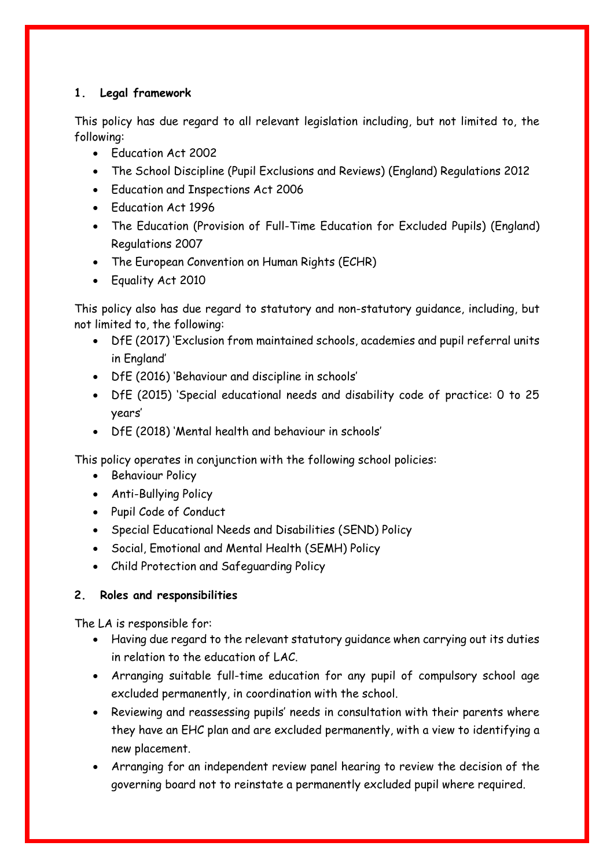## <span id="page-2-0"></span>**1. Legal framework**

This policy has due regard to all relevant legislation including, but not limited to, the following:

- Education Act 2002
- The School Discipline (Pupil Exclusions and Reviews) (England) Regulations 2012
- Education and Inspections Act 2006
- Education Act 1996
- The Education (Provision of Full-Time Education for Excluded Pupils) (England) Regulations 2007
- The European Convention on Human Rights (ECHR)
- Equality Act 2010

This policy also has due regard to statutory and non-statutory guidance, including, but not limited to, the following:

- DfE (2017) 'Exclusion from maintained schools, academies and pupil referral units in England'
- DfE (2016) 'Behaviour and discipline in schools'
- DfE (2015) 'Special educational needs and disability code of practice: 0 to 25 years'
- DfE (2018) 'Mental health and behaviour in schools'

This policy operates in conjunction with the following school policies:

- Behaviour Policy
- Anti-Bullying Policy
- Pupil Code of Conduct
- Special Educational Needs and Disabilities (SEND) Policy
- Social, Emotional and Mental Health (SEMH) Policy
- Child Protection and Safeguarding Policy

## <span id="page-2-1"></span>**2. Roles and responsibilities**

The LA is responsible for:

- Having due regard to the relevant statutory guidance when carrying out its duties in relation to the education of LAC.
- Arranging suitable full-time education for any pupil of compulsory school age excluded permanently, in coordination with the school.
- Reviewing and reassessing pupils' needs in consultation with their parents where they have an EHC plan and are excluded permanently, with a view to identifying a new placement.
- Arranging for an independent review panel hearing to review the decision of the governing board not to reinstate a permanently excluded pupil where required.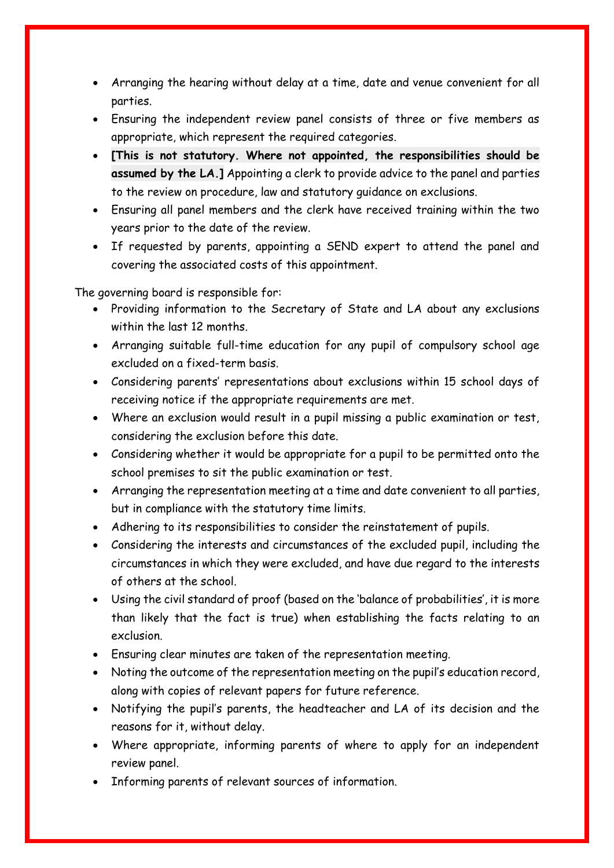- Arranging the hearing without delay at a time, date and venue convenient for all parties.
- Ensuring the independent review panel consists of three or five members as appropriate, which represent the required categories.
- **[This is not statutory. Where not appointed, the responsibilities should be assumed by the LA.]** Appointing a clerk to provide advice to the panel and parties to the review on procedure, law and statutory guidance on exclusions.
- Ensuring all panel members and the clerk have received training within the two years prior to the date of the review.
- If requested by parents, appointing a SEND expert to attend the panel and covering the associated costs of this appointment.

The governing board is responsible for:

- Providing information to the Secretary of State and LA about any exclusions within the last 12 months.
- Arranging suitable full-time education for any pupil of compulsory school age excluded on a fixed-term basis.
- Considering parents' representations about exclusions within 15 school days of receiving notice if the appropriate requirements are met.
- Where an exclusion would result in a pupil missing a public examination or test, considering the exclusion before this date.
- Considering whether it would be appropriate for a pupil to be permitted onto the school premises to sit the public examination or test.
- Arranging the representation meeting at a time and date convenient to all parties, but in compliance with the statutory time limits.
- Adhering to its responsibilities to consider the reinstatement of pupils.
- Considering the interests and circumstances of the excluded pupil, including the circumstances in which they were excluded, and have due regard to the interests of others at the school.
- Using the civil standard of proof (based on the 'balance of probabilities', it is more than likely that the fact is true) when establishing the facts relating to an exclusion.
- Ensuring clear minutes are taken of the representation meeting.
- Noting the outcome of the representation meeting on the pupil's education record, along with copies of relevant papers for future reference.
- Notifying the pupil's parents, the headteacher and LA of its decision and the reasons for it, without delay.
- Where appropriate, informing parents of where to apply for an independent review panel.
- Informing parents of relevant sources of information.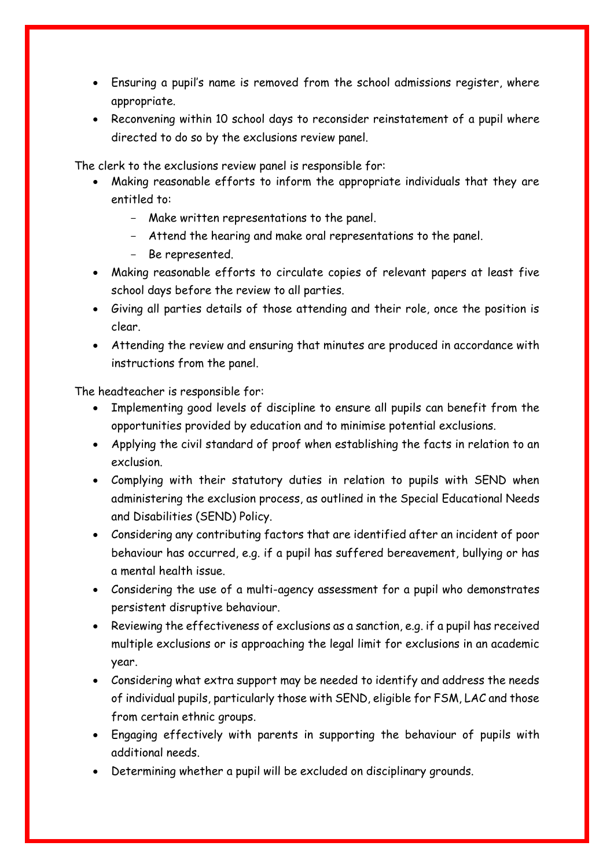- Ensuring a pupil's name is removed from the school admissions register, where appropriate.
- Reconvening within 10 school days to reconsider reinstatement of a pupil where directed to do so by the exclusions review panel.

The clerk to the exclusions review panel is responsible for:

- Making reasonable efforts to inform the appropriate individuals that they are entitled to:
	- Make written representations to the panel.
	- Attend the hearing and make oral representations to the panel.
	- Be represented.
- Making reasonable efforts to circulate copies of relevant papers at least five school days before the review to all parties.
- Giving all parties details of those attending and their role, once the position is clear.
- Attending the review and ensuring that minutes are produced in accordance with instructions from the panel.

The headteacher is responsible for:

- Implementing good levels of discipline to ensure all pupils can benefit from the opportunities provided by education and to minimise potential exclusions.
- Applying the civil standard of proof when establishing the facts in relation to an exclusion.
- Complying with their statutory duties in relation to pupils with SEND when administering the exclusion process, as outlined in the Special Educational Needs and Disabilities (SEND) Policy.
- Considering any contributing factors that are identified after an incident of poor behaviour has occurred, e.g. if a pupil has suffered bereavement, bullying or has a mental health issue.
- Considering the use of a multi-agency assessment for a pupil who demonstrates persistent disruptive behaviour.
- Reviewing the effectiveness of exclusions as a sanction, e.g. if a pupil has received multiple exclusions or is approaching the legal limit for exclusions in an academic year.
- Considering what extra support may be needed to identify and address the needs of individual pupils, particularly those with SEND, eligible for FSM, LAC and those from certain ethnic groups.
- Engaging effectively with parents in supporting the behaviour of pupils with additional needs.
- Determining whether a pupil will be excluded on disciplinary grounds.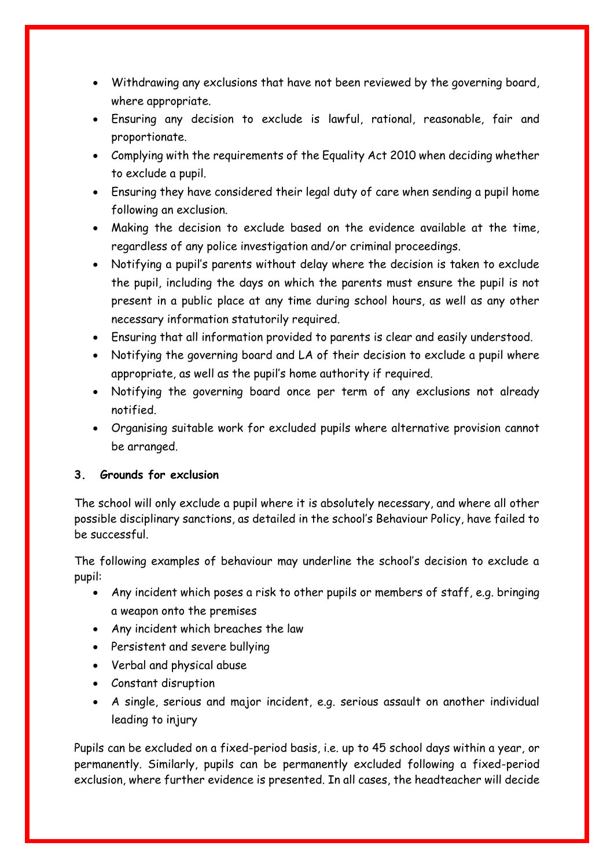- Withdrawing any exclusions that have not been reviewed by the governing board, where appropriate.
- Ensuring any decision to exclude is lawful, rational, reasonable, fair and proportionate.
- Complying with the requirements of the Equality Act 2010 when deciding whether to exclude a pupil.
- Ensuring they have considered their legal duty of care when sending a pupil home following an exclusion.
- Making the decision to exclude based on the evidence available at the time, regardless of any police investigation and/or criminal proceedings.
- Notifying a pupil's parents without delay where the decision is taken to exclude the pupil, including the days on which the parents must ensure the pupil is not present in a public place at any time during school hours, as well as any other necessary information statutorily required.
- Ensuring that all information provided to parents is clear and easily understood.
- Notifying the governing board and LA of their decision to exclude a pupil where appropriate, as well as the pupil's home authority if required.
- Notifying the governing board once per term of any exclusions not already notified.
- Organising suitable work for excluded pupils where alternative provision cannot be arranged.

## <span id="page-5-0"></span>**3. Grounds for exclusion**

The school will only exclude a pupil where it is absolutely necessary, and where all other possible disciplinary sanctions, as detailed in the school's Behaviour Policy, have failed to be successful.

The following examples of behaviour may underline the school's decision to exclude a pupil:

- Any incident which poses a risk to other pupils or members of staff, e.g. bringing a weapon onto the premises
- Any incident which breaches the law
- Persistent and severe bullying
- Verbal and physical abuse
- Constant disruption
- A single, serious and major incident, e.g. serious assault on another individual leading to injury

Pupils can be excluded on a fixed-period basis, i.e. up to 45 school days within a year, or permanently. Similarly, pupils can be permanently excluded following a fixed-period exclusion, where further evidence is presented. In all cases, the headteacher will decide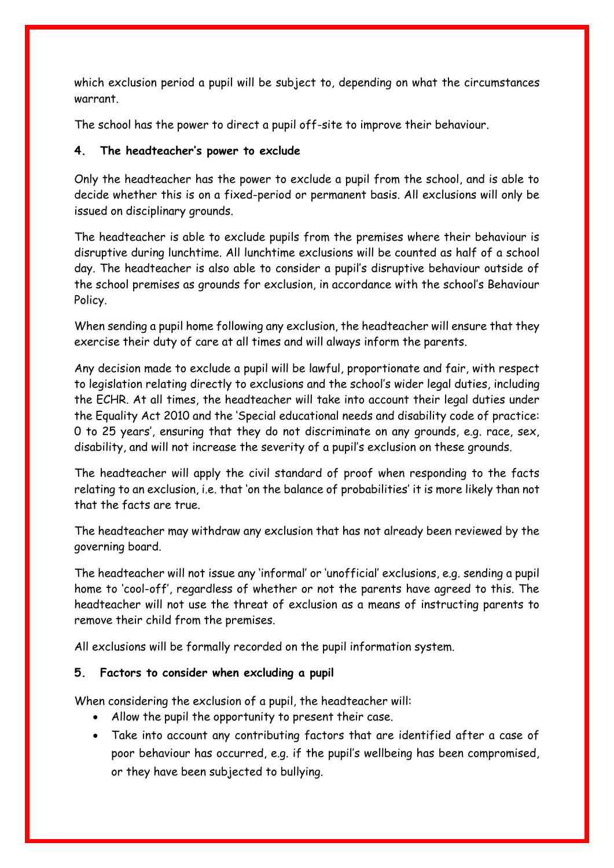which exclusion period a pupil will be subject to, depending on what the circumstances warrant.

The school has the power to direct a pupil off-site to improve their behaviour.

## <span id="page-6-0"></span>**4. The headteacher's power to exclude**

Only the headteacher has the power to exclude a pupil from the school, and is able to decide whether this is on a fixed-period or permanent basis. All exclusions will only be issued on disciplinary grounds.

The headteacher is able to exclude pupils from the premises where their behaviour is disruptive during lunchtime. All lunchtime exclusions will be counted as half of a school day. The headteacher is also able to consider a pupil's disruptive behaviour outside of the school premises as grounds for exclusion, in accordance with the school's Behaviour Policy.

When sending a pupil home following any exclusion, the headteacher will ensure that they exercise their duty of care at all times and will always inform the parents.

Any decision made to exclude a pupil will be lawful, proportionate and fair, with respect to legislation relating directly to exclusions and the school's wider legal duties, including the ECHR. At all times, the headteacher will take into account their legal duties under the Equality Act 2010 and the 'Special educational needs and disability code of practice: 0 to 25 years', ensuring that they do not discriminate on any grounds, e.g. race, sex, disability, and will not increase the severity of a pupil's exclusion on these grounds.

The headteacher will apply the civil standard of proof when responding to the facts relating to an exclusion, i.e. that 'on the balance of probabilities' it is more likely than not that the facts are true.

The headteacher may withdraw any exclusion that has not already been reviewed by the governing board.

The headteacher will not issue any 'informal' or 'unofficial' exclusions, e.g. sending a pupil home to 'cool-off', regardless of whether or not the parents have agreed to this. The headteacher will not use the threat of exclusion as a means of instructing parents to remove their child from the premises.

All exclusions will be formally recorded on the pupil information system.

## <span id="page-6-1"></span>**5. Factors to consider when excluding a pupil**

When considering the exclusion of a pupil, the headteacher will:

- Allow the pupil the opportunity to present their case.
- Take into account any contributing factors that are identified after a case of poor behaviour has occurred, e.g. if the pupil's wellbeing has been compromised, or they have been subjected to bullying.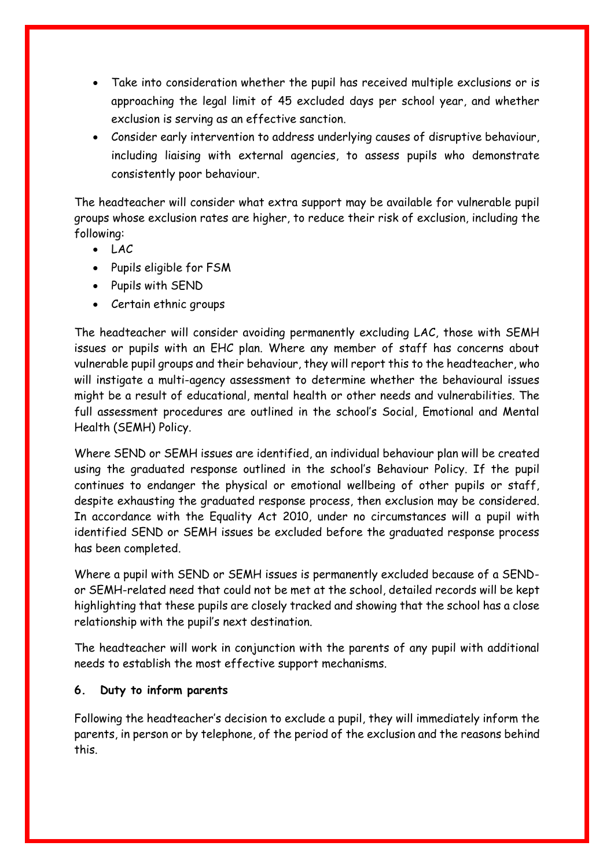- Take into consideration whether the pupil has received multiple exclusions or is approaching the legal limit of 45 excluded days per school year, and whether exclusion is serving as an effective sanction.
- Consider early intervention to address underlying causes of disruptive behaviour, including liaising with external agencies, to assess pupils who demonstrate consistently poor behaviour.

The headteacher will consider what extra support may be available for vulnerable pupil groups whose exclusion rates are higher, to reduce their risk of exclusion, including the following:

- $-LAC$
- Pupils eligible for FSM
- Pupils with SEND
- Certain ethnic groups

The headteacher will consider avoiding permanently excluding LAC, those with SEMH issues or pupils with an EHC plan. Where any member of staff has concerns about vulnerable pupil groups and their behaviour, they will report this to the headteacher, who will instigate a multi-agency assessment to determine whether the behavioural issues might be a result of educational, mental health or other needs and vulnerabilities. The full assessment procedures are outlined in the school's Social, Emotional and Mental Health (SEMH) Policy.

Where SEND or SEMH issues are identified, an individual behaviour plan will be created using the graduated response outlined in the school's Behaviour Policy. If the pupil continues to endanger the physical or emotional wellbeing of other pupils or staff, despite exhausting the graduated response process, then exclusion may be considered. In accordance with the Equality Act 2010, under no circumstances will a pupil with identified SEND or SEMH issues be excluded before the graduated response process has been completed.

Where a pupil with SEND or SEMH issues is permanently excluded because of a SENDor SEMH-related need that could not be met at the school, detailed records will be kept highlighting that these pupils are closely tracked and showing that the school has a close relationship with the pupil's next destination.

The headteacher will work in conjunction with the parents of any pupil with additional needs to establish the most effective support mechanisms.

## <span id="page-7-0"></span>**6. Duty to inform parents**

Following the headteacher's decision to exclude a pupil, they will immediately inform the parents, in person or by telephone, of the period of the exclusion and the reasons behind this.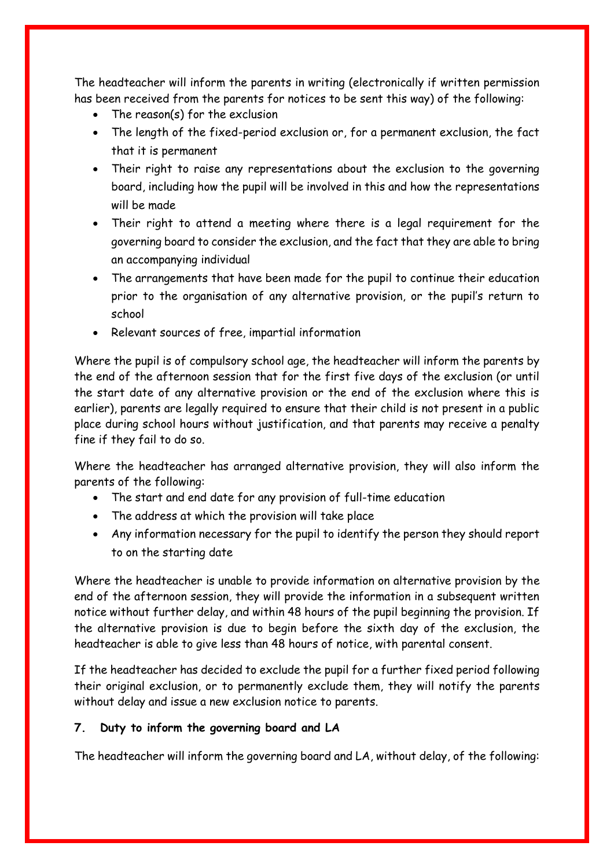The headteacher will inform the parents in writing (electronically if written permission has been received from the parents for notices to be sent this way) of the following:

- The reason(s) for the exclusion
- The length of the fixed-period exclusion or, for a permanent exclusion, the fact that it is permanent
- Their right to raise any representations about the exclusion to the governing board, including how the pupil will be involved in this and how the representations will be made
- Their right to attend a meeting where there is a legal requirement for the governing board to consider the exclusion, and the fact that they are able to bring an accompanying individual
- The arrangements that have been made for the pupil to continue their education prior to the organisation of any alternative provision, or the pupil's return to school
- Relevant sources of free, impartial information

Where the pupil is of compulsory school age, the headteacher will inform the parents by the end of the afternoon session that for the first five days of the exclusion (or until the start date of any alternative provision or the end of the exclusion where this is earlier), parents are legally required to ensure that their child is not present in a public place during school hours without justification, and that parents may receive a penalty fine if they fail to do so.

Where the headteacher has arranged alternative provision, they will also inform the parents of the following:

- The start and end date for any provision of full-time education
- The address at which the provision will take place
- Any information necessary for the pupil to identify the person they should report to on the starting date

Where the headteacher is unable to provide information on alternative provision by the end of the afternoon session, they will provide the information in a subsequent written notice without further delay, and within 48 hours of the pupil beginning the provision. If the alternative provision is due to begin before the sixth day of the exclusion, the headteacher is able to give less than 48 hours of notice, with parental consent.

If the headteacher has decided to exclude the pupil for a further fixed period following their original exclusion, or to permanently exclude them, they will notify the parents without delay and issue a new exclusion notice to parents.

### <span id="page-8-0"></span>**7. Duty to inform the governing board and LA**

The headteacher will inform the governing board and LA, without delay, of the following: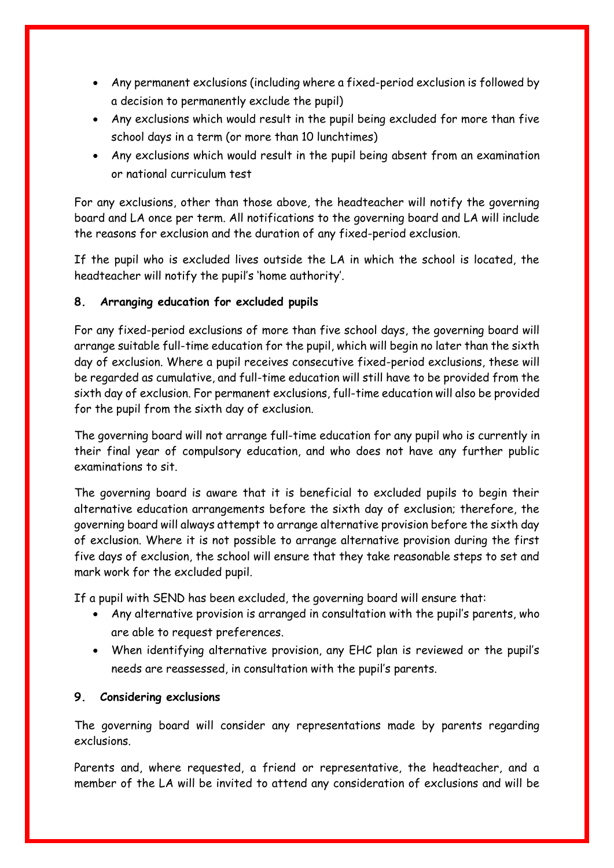- Any permanent exclusions (including where a fixed-period exclusion is followed by a decision to permanently exclude the pupil)
- Any exclusions which would result in the pupil being excluded for more than five school days in a term (or more than 10 lunchtimes)
- Any exclusions which would result in the pupil being absent from an examination or national curriculum test

For any exclusions, other than those above, the headteacher will notify the governing board and LA once per term. All notifications to the governing board and LA will include the reasons for exclusion and the duration of any fixed-period exclusion.

If the pupil who is excluded lives outside the LA in which the school is located, the headteacher will notify the pupil's 'home authority'.

## <span id="page-9-0"></span>**8. Arranging education for excluded pupils**

For any fixed-period exclusions of more than five school days, the governing board will arrange suitable full-time education for the pupil, which will begin no later than the sixth day of exclusion. Where a pupil receives consecutive fixed-period exclusions, these will be regarded as cumulative, and full-time education will still have to be provided from the sixth day of exclusion. For permanent exclusions, full-time education will also be provided for the pupil from the sixth day of exclusion.

The governing board will not arrange full-time education for any pupil who is currently in their final year of compulsory education, and who does not have any further public examinations to sit.

The governing board is aware that it is beneficial to excluded pupils to begin their alternative education arrangements before the sixth day of exclusion; therefore, the governing board will always attempt to arrange alternative provision before the sixth day of exclusion. Where it is not possible to arrange alternative provision during the first five days of exclusion, the school will ensure that they take reasonable steps to set and mark work for the excluded pupil.

If a pupil with SEND has been excluded, the governing board will ensure that:

- Any alternative provision is arranged in consultation with the pupil's parents, who are able to request preferences.
- When identifying alternative provision, any EHC plan is reviewed or the pupil's needs are reassessed, in consultation with the pupil's parents.

### <span id="page-9-1"></span>**9. Considering exclusions**

The governing board will consider any representations made by parents regarding exclusions.

Parents and, where requested, a friend or representative, the headteacher, and a member of the LA will be invited to attend any consideration of exclusions and will be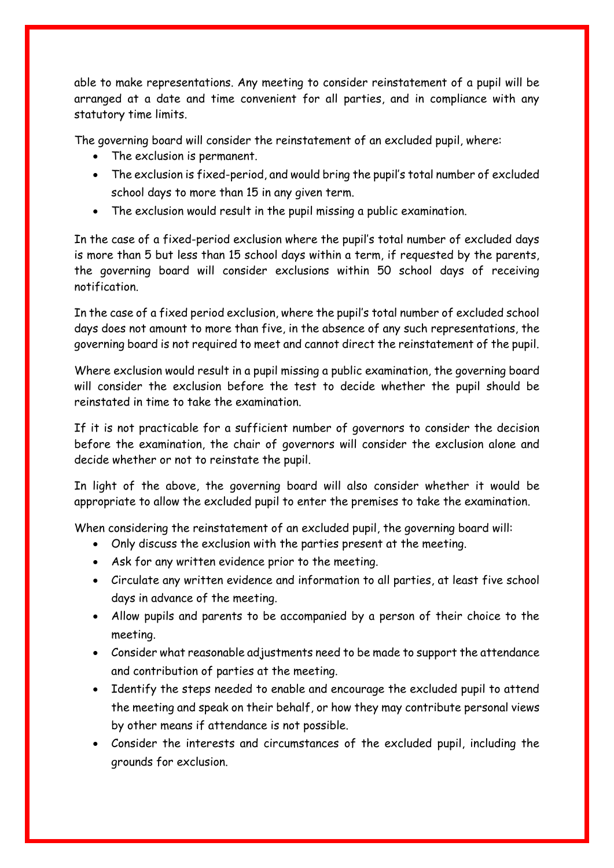able to make representations. Any meeting to consider reinstatement of a pupil will be arranged at a date and time convenient for all parties, and in compliance with any statutory time limits.

The governing board will consider the reinstatement of an excluded pupil, where:

- The exclusion is permanent.
- The exclusion is fixed-period, and would bring the pupil's total number of excluded school days to more than 15 in any given term.
- The exclusion would result in the pupil missing a public examination.

In the case of a fixed-period exclusion where the pupil's total number of excluded days is more than 5 but less than 15 school days within a term, if requested by the parents, the governing board will consider exclusions within 50 school days of receiving notification.

In the case of a fixed period exclusion, where the pupil's total number of excluded school days does not amount to more than five, in the absence of any such representations, the governing board is not required to meet and cannot direct the reinstatement of the pupil.

Where exclusion would result in a pupil missing a public examination, the governing board will consider the exclusion before the test to decide whether the pupil should be reinstated in time to take the examination.

If it is not practicable for a sufficient number of governors to consider the decision before the examination, the chair of governors will consider the exclusion alone and decide whether or not to reinstate the pupil.

In light of the above, the governing board will also consider whether it would be appropriate to allow the excluded pupil to enter the premises to take the examination.

When considering the reinstatement of an excluded pupil, the governing board will:

- Only discuss the exclusion with the parties present at the meeting.
- Ask for any written evidence prior to the meeting.
- Circulate any written evidence and information to all parties, at least five school days in advance of the meeting.
- Allow pupils and parents to be accompanied by a person of their choice to the meeting.
- Consider what reasonable adjustments need to be made to support the attendance and contribution of parties at the meeting.
- Identify the steps needed to enable and encourage the excluded pupil to attend the meeting and speak on their behalf, or how they may contribute personal views by other means if attendance is not possible.
- Consider the interests and circumstances of the excluded pupil, including the grounds for exclusion.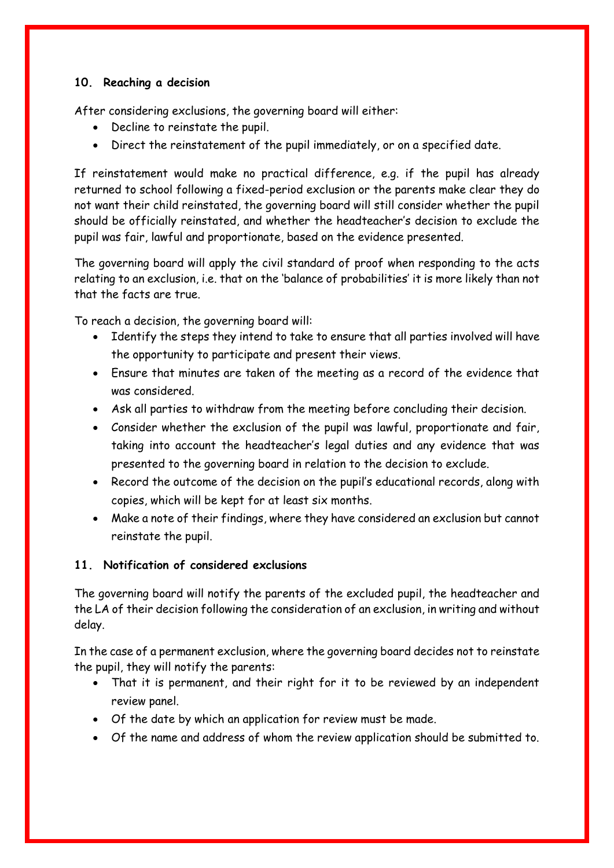## <span id="page-11-0"></span>**10. Reaching a decision**

After considering exclusions, the governing board will either:

- Decline to reinstate the pupil.
- Direct the reinstatement of the pupil immediately, or on a specified date.

If reinstatement would make no practical difference, e.g. if the pupil has already returned to school following a fixed-period exclusion or the parents make clear they do not want their child reinstated, the governing board will still consider whether the pupil should be officially reinstated, and whether the headteacher's decision to exclude the pupil was fair, lawful and proportionate, based on the evidence presented.

The governing board will apply the civil standard of proof when responding to the acts relating to an exclusion, i.e. that on the 'balance of probabilities' it is more likely than not that the facts are true.

To reach a decision, the governing board will:

- Identify the steps they intend to take to ensure that all parties involved will have the opportunity to participate and present their views.
- Ensure that minutes are taken of the meeting as a record of the evidence that was considered.
- Ask all parties to withdraw from the meeting before concluding their decision.
- Consider whether the exclusion of the pupil was lawful, proportionate and fair, taking into account the headteacher's legal duties and any evidence that was presented to the governing board in relation to the decision to exclude.
- Record the outcome of the decision on the pupil's educational records, along with copies, which will be kept for at least six months.
- Make a note of their findings, where they have considered an exclusion but cannot reinstate the pupil.

## <span id="page-11-1"></span>**11. Notification of considered exclusions**

The governing board will notify the parents of the excluded pupil, the headteacher and the LA of their decision following the consideration of an exclusion, in writing and without delay.

In the case of a permanent exclusion, where the governing board decides not to reinstate the pupil, they will notify the parents:

- That it is permanent, and their right for it to be reviewed by an independent review panel.
- Of the date by which an application for review must be made.
- Of the name and address of whom the review application should be submitted to.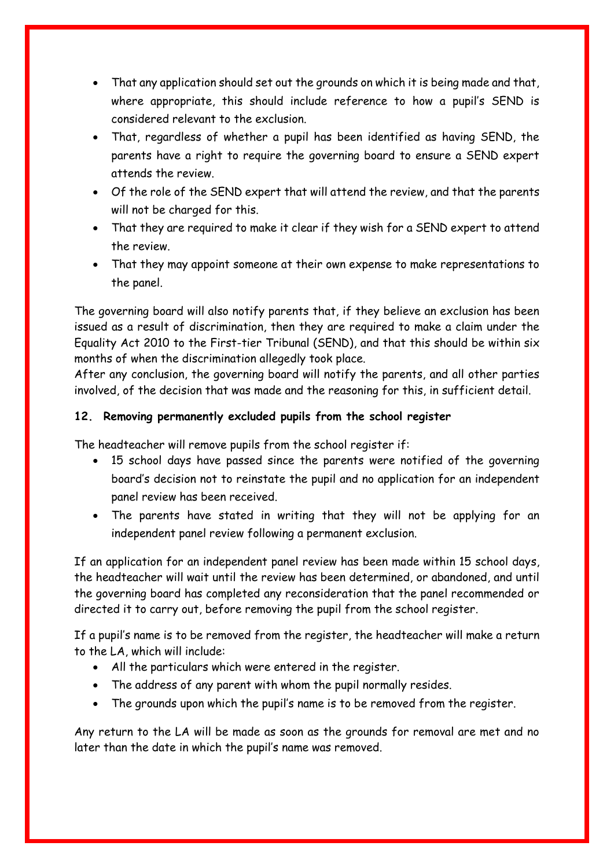- That any application should set out the grounds on which it is being made and that, where appropriate, this should include reference to how a pupil's SEND is considered relevant to the exclusion.
- That, regardless of whether a pupil has been identified as having SEND, the parents have a right to require the governing board to ensure a SEND expert attends the review.
- Of the role of the SEND expert that will attend the review, and that the parents will not be charged for this.
- That they are required to make it clear if they wish for a SEND expert to attend the review.
- That they may appoint someone at their own expense to make representations to the panel.

The governing board will also notify parents that, if they believe an exclusion has been issued as a result of discrimination, then they are required to make a claim under the Equality Act 2010 to the First-tier Tribunal (SEND), and that this should be within six months of when the discrimination allegedly took place.

After any conclusion, the governing board will notify the parents, and all other parties involved, of the decision that was made and the reasoning for this, in sufficient detail.

# <span id="page-12-0"></span>**12. Removing permanently excluded pupils from the school register**

The headteacher will remove pupils from the school register if:

- 15 school days have passed since the parents were notified of the governing board's decision not to reinstate the pupil and no application for an independent panel review has been received.
- The parents have stated in writing that they will not be applying for an independent panel review following a permanent exclusion.

If an application for an independent panel review has been made within 15 school days, the headteacher will wait until the review has been determined, or abandoned, and until the governing board has completed any reconsideration that the panel recommended or directed it to carry out, before removing the pupil from the school register.

If a pupil's name is to be removed from the register, the headteacher will make a return to the LA, which will include:

- All the particulars which were entered in the register.
- The address of any parent with whom the pupil normally resides.
- The grounds upon which the pupil's name is to be removed from the register.

Any return to the LA will be made as soon as the grounds for removal are met and no later than the date in which the pupil's name was removed.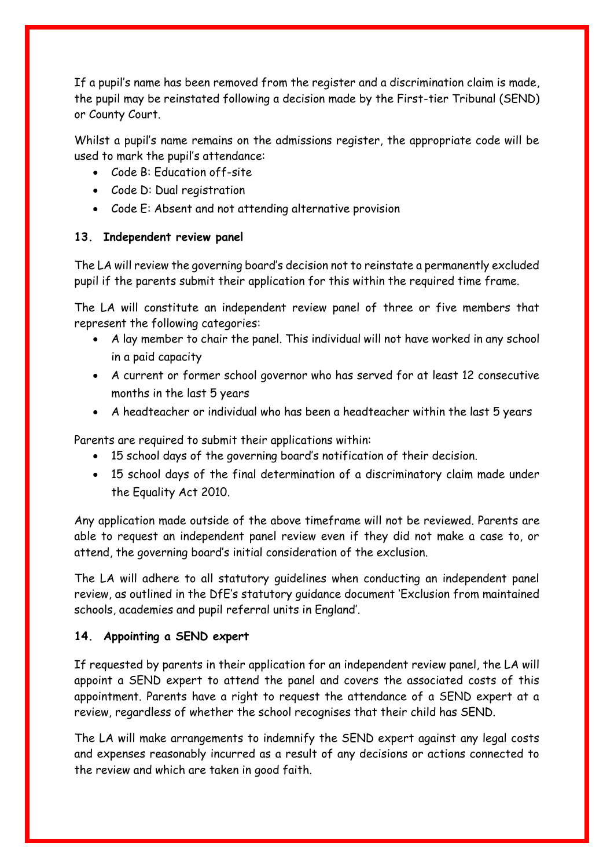If a pupil's name has been removed from the register and a discrimination claim is made, the pupil may be reinstated following a decision made by the First-tier Tribunal (SEND) or County Court.

Whilst a pupil's name remains on the admissions register, the appropriate code will be used to mark the pupil's attendance:

- Code B: Education off-site
- Code D: Dual registration
- Code E: Absent and not attending alternative provision

### <span id="page-13-0"></span>**13. Independent review panel**

The LA will review the governing board's decision not to reinstate a permanently excluded pupil if the parents submit their application for this within the required time frame.

The LA will constitute an independent review panel of three or five members that represent the following categories:

- A lay member to chair the panel. This individual will not have worked in any school in a paid capacity
- A current or former school governor who has served for at least 12 consecutive months in the last 5 years
- A headteacher or individual who has been a headteacher within the last 5 years

Parents are required to submit their applications within:

- 15 school days of the governing board's notification of their decision.
- 15 school days of the final determination of a discriminatory claim made under the Equality Act 2010.

Any application made outside of the above timeframe will not be reviewed. Parents are able to request an independent panel review even if they did not make a case to, or attend, the governing board's initial consideration of the exclusion.

The LA will adhere to all statutory guidelines when conducting an independent panel review, as outlined in the DfE's statutory guidance document 'Exclusion from maintained schools, academies and pupil referral units in England'.

### <span id="page-13-1"></span>**14. Appointing a SEND expert**

If requested by parents in their application for an independent review panel, the LA will appoint a SEND expert to attend the panel and covers the associated costs of this appointment. Parents have a right to request the attendance of a SEND expert at a review, regardless of whether the school recognises that their child has SEND.

The LA will make arrangements to indemnify the SEND expert against any legal costs and expenses reasonably incurred as a result of any decisions or actions connected to the review and which are taken in good faith.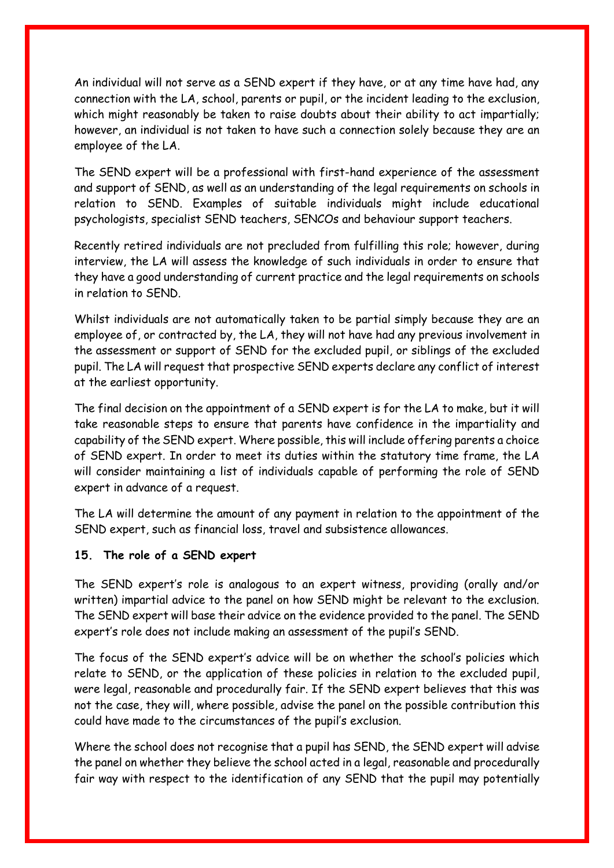An individual will not serve as a SEND expert if they have, or at any time have had, any connection with the LA, school, parents or pupil, or the incident leading to the exclusion, which might reasonably be taken to raise doubts about their ability to act impartially; however, an individual is not taken to have such a connection solely because they are an employee of the LA.

The SEND expert will be a professional with first-hand experience of the assessment and support of SEND, as well as an understanding of the legal requirements on schools in relation to SEND. Examples of suitable individuals might include educational psychologists, specialist SEND teachers, SENCOs and behaviour support teachers.

Recently retired individuals are not precluded from fulfilling this role; however, during interview, the LA will assess the knowledge of such individuals in order to ensure that they have a good understanding of current practice and the legal requirements on schools in relation to SEND.

Whilst individuals are not automatically taken to be partial simply because they are an employee of, or contracted by, the LA, they will not have had any previous involvement in the assessment or support of SEND for the excluded pupil, or siblings of the excluded pupil. The LA will request that prospective SEND experts declare any conflict of interest at the earliest opportunity.

The final decision on the appointment of a SEND expert is for the LA to make, but it will take reasonable steps to ensure that parents have confidence in the impartiality and capability of the SEND expert. Where possible, this will include offering parents a choice of SEND expert. In order to meet its duties within the statutory time frame, the LA will consider maintaining a list of individuals capable of performing the role of SEND expert in advance of a request.

The LA will determine the amount of any payment in relation to the appointment of the SEND expert, such as financial loss, travel and subsistence allowances.

### <span id="page-14-0"></span>**15. The role of a SEND expert**

The SEND expert's role is analogous to an expert witness, providing (orally and/or written) impartial advice to the panel on how SEND might be relevant to the exclusion. The SEND expert will base their advice on the evidence provided to the panel. The SEND expert's role does not include making an assessment of the pupil's SEND.

The focus of the SEND expert's advice will be on whether the school's policies which relate to SEND, or the application of these policies in relation to the excluded pupil, were legal, reasonable and procedurally fair. If the SEND expert believes that this was not the case, they will, where possible, advise the panel on the possible contribution this could have made to the circumstances of the pupil's exclusion.

Where the school does not recognise that a pupil has SEND, the SEND expert will advise the panel on whether they believe the school acted in a legal, reasonable and procedurally fair way with respect to the identification of any SEND that the pupil may potentially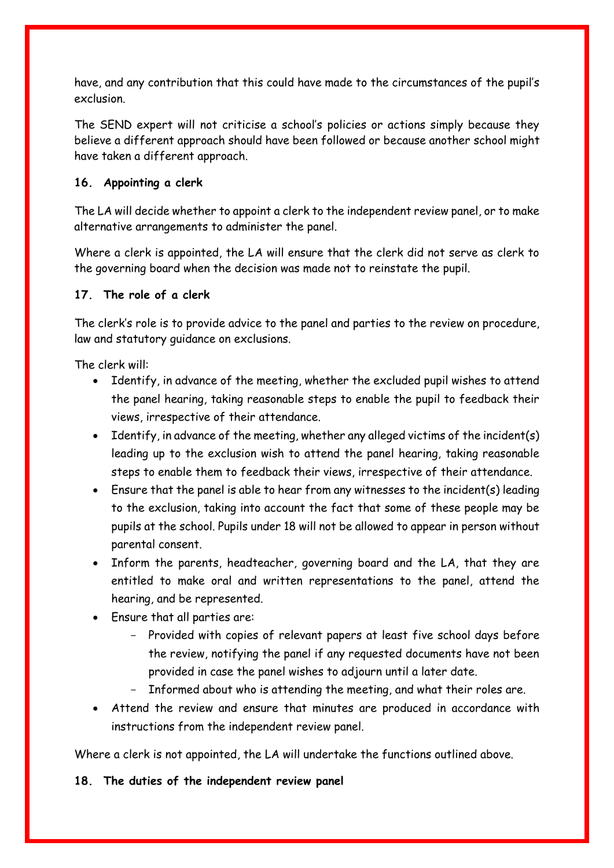have, and any contribution that this could have made to the circumstances of the pupil's exclusion.

The SEND expert will not criticise a school's policies or actions simply because they believe a different approach should have been followed or because another school might have taken a different approach.

### <span id="page-15-0"></span>**16. Appointing a clerk**

The LA will decide whether to appoint a clerk to the independent review panel, or to make alternative arrangements to administer the panel.

Where a clerk is appointed, the LA will ensure that the clerk did not serve as clerk to the governing board when the decision was made not to reinstate the pupil.

### <span id="page-15-1"></span>**17. The role of a clerk**

The clerk's role is to provide advice to the panel and parties to the review on procedure, law and statutory guidance on exclusions.

The clerk will:

- Identify, in advance of the meeting, whether the excluded pupil wishes to attend the panel hearing, taking reasonable steps to enable the pupil to feedback their views, irrespective of their attendance.
- Identify, in advance of the meeting, whether any alleged victims of the incident(s) leading up to the exclusion wish to attend the panel hearing, taking reasonable steps to enable them to feedback their views, irrespective of their attendance.
- Ensure that the panel is able to hear from any witnesses to the incident(s) leading to the exclusion, taking into account the fact that some of these people may be pupils at the school. Pupils under 18 will not be allowed to appear in person without parental consent.
- Inform the parents, headteacher, governing board and the LA, that they are entitled to make oral and written representations to the panel, attend the hearing, and be represented.
- Ensure that all parties are:
	- Provided with copies of relevant papers at least five school days before the review, notifying the panel if any requested documents have not been provided in case the panel wishes to adjourn until a later date.
	- Informed about who is attending the meeting, and what their roles are.
- Attend the review and ensure that minutes are produced in accordance with instructions from the independent review panel.

Where a clerk is not appointed, the LA will undertake the functions outlined above.

<span id="page-15-2"></span>**18. The duties of the independent review panel**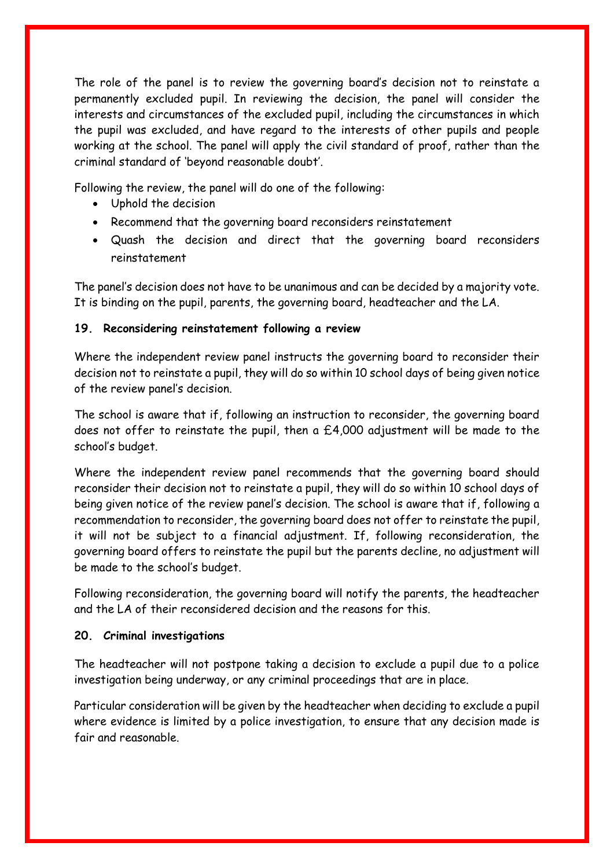The role of the panel is to review the governing board's decision not to reinstate a permanently excluded pupil. In reviewing the decision, the panel will consider the interests and circumstances of the excluded pupil, including the circumstances in which the pupil was excluded, and have regard to the interests of other pupils and people working at the school. The panel will apply the civil standard of proof, rather than the criminal standard of 'beyond reasonable doubt'.

Following the review, the panel will do one of the following:

- Uphold the decision
- Recommend that the governing board reconsiders reinstatement
- Quash the decision and direct that the governing board reconsiders reinstatement

The panel's decision does not have to be unanimous and can be decided by a majority vote. It is binding on the pupil, parents, the governing board, headteacher and the LA.

### <span id="page-16-0"></span>**19. Reconsidering reinstatement following a review**

Where the independent review panel instructs the governing board to reconsider their decision not to reinstate a pupil, they will do so within 10 school days of being given notice of the review panel's decision.

The school is aware that if, following an instruction to reconsider, the governing board does not offer to reinstate the pupil, then a  $£4,000$  adjustment will be made to the school's budget.

Where the independent review panel recommends that the governing board should reconsider their decision not to reinstate a pupil, they will do so within 10 school days of being given notice of the review panel's decision. The school is aware that if, following a recommendation to reconsider, the governing board does not offer to reinstate the pupil, it will not be subject to a financial adjustment. If, following reconsideration, the governing board offers to reinstate the pupil but the parents decline, no adjustment will be made to the school's budget.

Following reconsideration, the governing board will notify the parents, the headteacher and the LA of their reconsidered decision and the reasons for this.

### <span id="page-16-1"></span>**20. Criminal investigations**

The headteacher will not postpone taking a decision to exclude a pupil due to a police investigation being underway, or any criminal proceedings that are in place.

Particular consideration will be given by the headteacher when deciding to exclude a pupil where evidence is limited by a police investigation, to ensure that any decision made is fair and reasonable.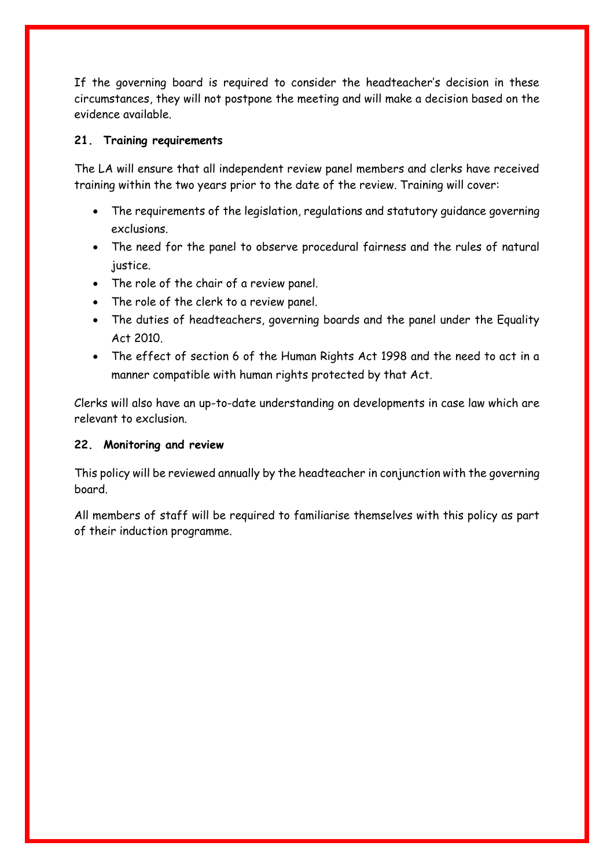If the governing board is required to consider the headteacher's decision in these circumstances, they will not postpone the meeting and will make a decision based on the evidence available.

#### <span id="page-17-0"></span>**21. Training requirements**

The LA will ensure that all independent review panel members and clerks have received training within the two years prior to the date of the review. Training will cover:

- The requirements of the legislation, regulations and statutory guidance governing exclusions.
- The need for the panel to observe procedural fairness and the rules of natural justice.
- The role of the chair of a review panel.
- The role of the clerk to a review panel.
- The duties of headteachers, governing boards and the panel under the Equality Act 2010.
- The effect of section 6 of the Human Rights Act 1998 and the need to act in a manner compatible with human rights protected by that Act.

Clerks will also have an up-to-date understanding on developments in case law which are relevant to exclusion.

### <span id="page-17-1"></span>**22. Monitoring and review**

This policy will be reviewed annually by the headteacher in conjunction with the governing board.

All members of staff will be required to familiarise themselves with this policy as part of their induction programme.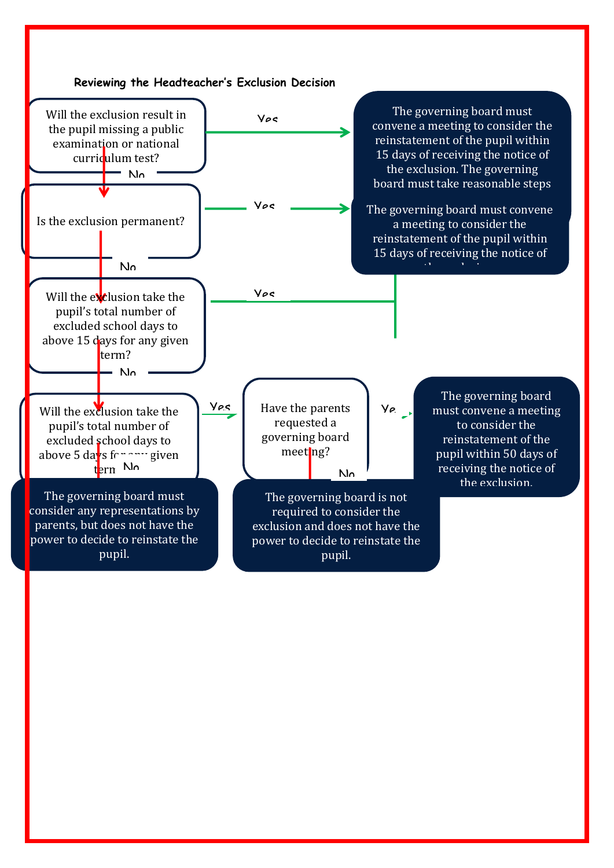<span id="page-18-0"></span>